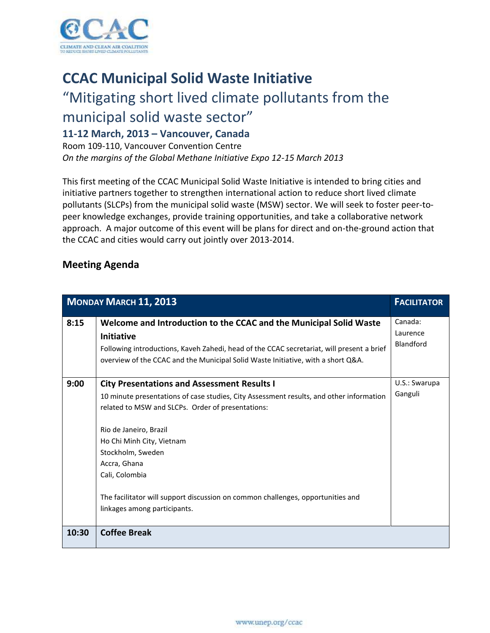

## **CCAC Municipal Solid Waste Initiative**

## "Mitigating short lived climate pollutants from the

municipal solid waste sector"

## **11-12 March, 2013 – Vancouver, Canada**

Room 109-110, Vancouver Convention Centre *On the margins of the Global Methane Initiative Expo 12-15 March 2013*

This first meeting of the CCAC Municipal Solid Waste Initiative is intended to bring cities and initiative partners together to strengthen international action to reduce short lived climate pollutants (SLCPs) from the municipal solid waste (MSW) sector. We will seek to foster peer-topeer knowledge exchanges, provide training opportunities, and take a collaborative network approach. A major outcome of this event will be plans for direct and on-the-ground action that the CCAC and cities would carry out jointly over 2013-2014.

## **Meeting Agenda**

| <b>MONDAY MARCH 11, 2013</b> | <b>FACILITATOR</b>                                                                                                                                                                                                                                                                                                                                                                                                                  |                                  |
|------------------------------|-------------------------------------------------------------------------------------------------------------------------------------------------------------------------------------------------------------------------------------------------------------------------------------------------------------------------------------------------------------------------------------------------------------------------------------|----------------------------------|
| 8:15                         | Welcome and Introduction to the CCAC and the Municipal Solid Waste<br>Initiative<br>Following introductions, Kaveh Zahedi, head of the CCAC secretariat, will present a brief<br>overview of the CCAC and the Municipal Solid Waste Initiative, with a short Q&A.                                                                                                                                                                   | Canada:<br>Laurence<br>Blandford |
| 9:00                         | <b>City Presentations and Assessment Results I</b><br>10 minute presentations of case studies, City Assessment results, and other information<br>related to MSW and SLCPs. Order of presentations:<br>Rio de Janeiro, Brazil<br>Ho Chi Minh City, Vietnam<br>Stockholm, Sweden<br>Accra, Ghana<br>Cali, Colombia<br>The facilitator will support discussion on common challenges, opportunities and<br>linkages among participants. | U.S.: Swarupa<br>Ganguli         |
| 10:30                        | <b>Coffee Break</b>                                                                                                                                                                                                                                                                                                                                                                                                                 |                                  |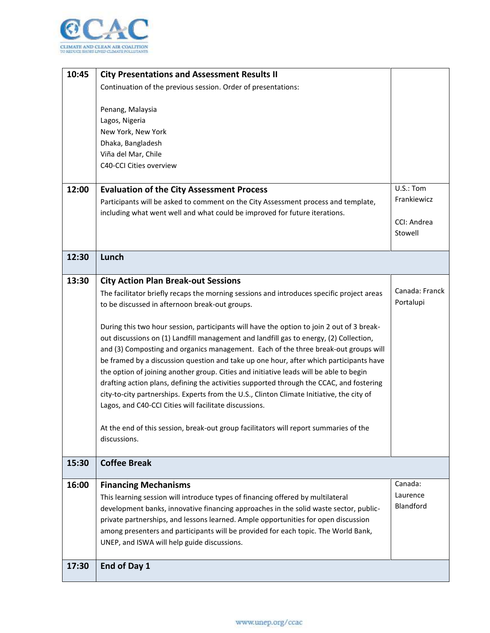

| 10:45 | <b>City Presentations and Assessment Results II</b>                                       |                |
|-------|-------------------------------------------------------------------------------------------|----------------|
|       | Continuation of the previous session. Order of presentations:                             |                |
|       |                                                                                           |                |
|       | Penang, Malaysia                                                                          |                |
|       | Lagos, Nigeria                                                                            |                |
|       | New York, New York                                                                        |                |
|       | Dhaka, Bangladesh                                                                         |                |
|       | Viña del Mar, Chile                                                                       |                |
|       | C40-CCI Cities overview                                                                   |                |
| 12:00 | <b>Evaluation of the City Assessment Process</b>                                          | U.S.: Tom      |
|       | Participants will be asked to comment on the City Assessment process and template,        | Frankiewicz    |
|       | including what went well and what could be improved for future iterations.                |                |
|       |                                                                                           | CCI: Andrea    |
|       |                                                                                           | Stowell        |
|       |                                                                                           |                |
| 12:30 | Lunch                                                                                     |                |
|       |                                                                                           |                |
| 13:30 | <b>City Action Plan Break-out Sessions</b>                                                |                |
|       | The facilitator briefly recaps the morning sessions and introduces specific project areas | Canada: Franck |
|       | to be discussed in afternoon break-out groups.                                            | Portalupi      |
|       | During this two hour session, participants will have the option to join 2 out of 3 break- |                |
|       | out discussions on (1) Landfill management and landfill gas to energy, (2) Collection,    |                |
|       | and (3) Composting and organics management. Each of the three break-out groups will       |                |
|       | be framed by a discussion question and take up one hour, after which participants have    |                |
|       | the option of joining another group. Cities and initiative leads will be able to begin    |                |
|       | drafting action plans, defining the activities supported through the CCAC, and fostering  |                |
|       | city-to-city partnerships. Experts from the U.S., Clinton Climate Initiative, the city of |                |
|       | Lagos, and C40-CCI Cities will facilitate discussions.                                    |                |
|       |                                                                                           |                |
|       | At the end of this session, break-out group facilitators will report summaries of the     |                |
|       | discussions.                                                                              |                |
|       |                                                                                           |                |
| 15:30 | <b>Coffee Break</b>                                                                       |                |
| 16:00 | <b>Financing Mechanisms</b>                                                               | Canada:        |
|       | This learning session will introduce types of financing offered by multilateral           | Laurence       |
|       | development banks, innovative financing approaches in the solid waste sector, public-     | Blandford      |
|       | private partnerships, and lessons learned. Ample opportunities for open discussion        |                |
|       | among presenters and participants will be provided for each topic. The World Bank,        |                |
|       | UNEP, and ISWA will help guide discussions.                                               |                |
|       |                                                                                           |                |
| 17:30 | End of Day 1                                                                              |                |
|       |                                                                                           |                |